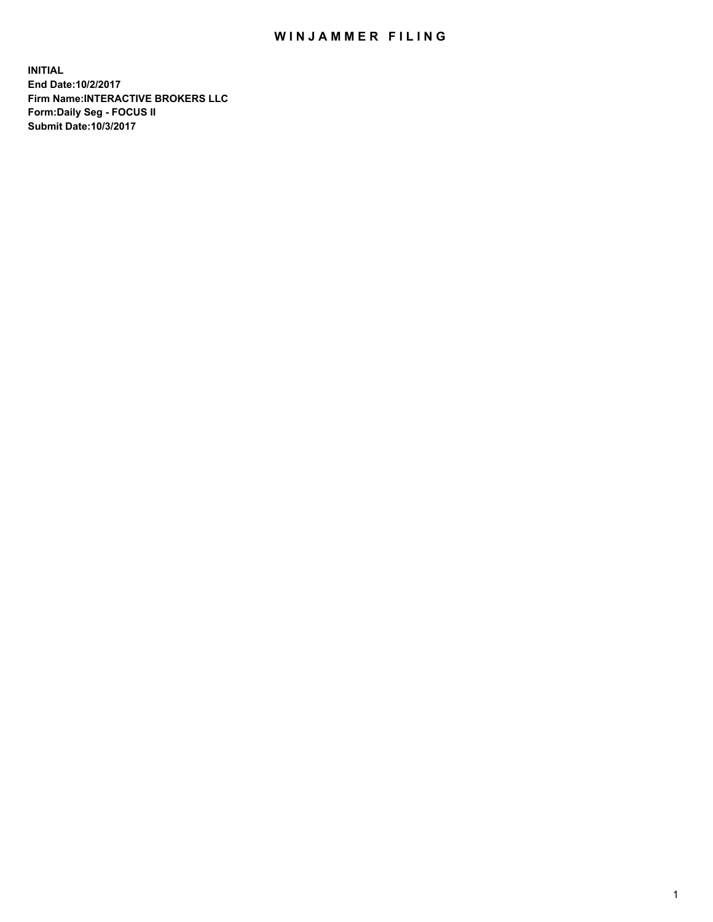## WIN JAMMER FILING

**INITIAL End Date:10/2/2017 Firm Name:INTERACTIVE BROKERS LLC Form:Daily Seg - FOCUS II Submit Date:10/3/2017**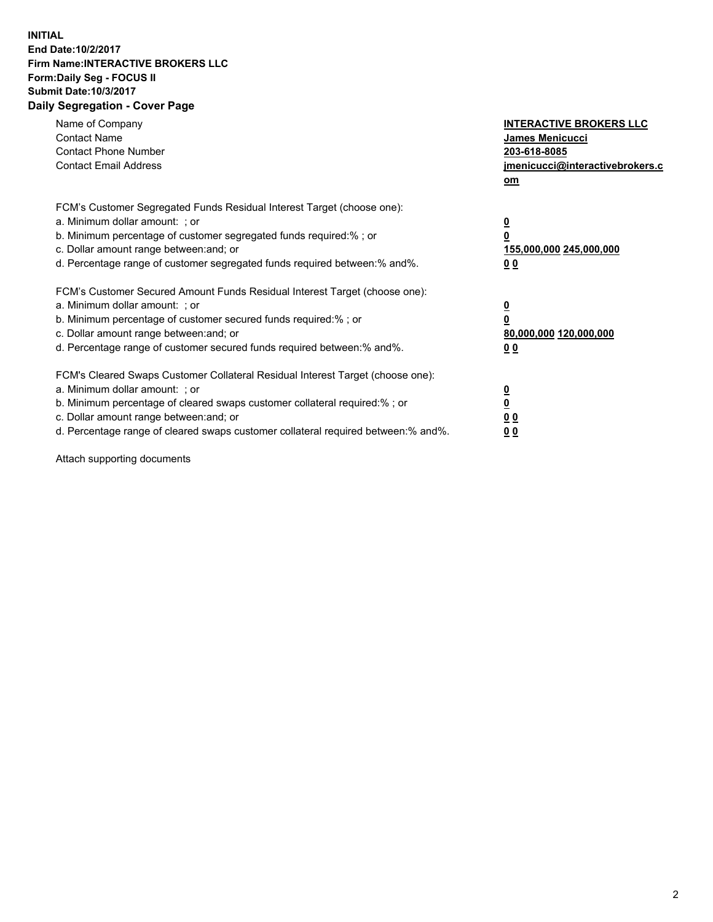## **INITIAL End Date:10/2/2017 Firm Name:INTERACTIVE BROKERS LLC Form:Daily Seg - FOCUS II Submit Date:10/3/2017 Daily Segregation - Cover Page**

| Name of Company<br><b>Contact Name</b><br><b>Contact Phone Number</b><br><b>Contact Email Address</b>                                                                                                                                                                                                                          | <b>INTERACTIVE BROKERS LLC</b><br><b>James Menicucci</b><br>203-618-8085<br>jmenicucci@interactivebrokers.c<br>om |
|--------------------------------------------------------------------------------------------------------------------------------------------------------------------------------------------------------------------------------------------------------------------------------------------------------------------------------|-------------------------------------------------------------------------------------------------------------------|
| FCM's Customer Segregated Funds Residual Interest Target (choose one):<br>a. Minimum dollar amount: ; or<br>b. Minimum percentage of customer segregated funds required:%; or<br>c. Dollar amount range between: and; or<br>d. Percentage range of customer segregated funds required between:% and%.                          | $\overline{\mathbf{0}}$<br>0<br>155,000,000 245,000,000<br>0 <sub>0</sub>                                         |
| FCM's Customer Secured Amount Funds Residual Interest Target (choose one):<br>a. Minimum dollar amount: ; or<br>b. Minimum percentage of customer secured funds required:%; or<br>c. Dollar amount range between: and; or<br>d. Percentage range of customer secured funds required between: % and %.                          | $\overline{\mathbf{0}}$<br>0<br>80,000,000 120,000,000<br>0 <sub>0</sub>                                          |
| FCM's Cleared Swaps Customer Collateral Residual Interest Target (choose one):<br>a. Minimum dollar amount: ; or<br>b. Minimum percentage of cleared swaps customer collateral required:% ; or<br>c. Dollar amount range between: and; or<br>d. Percentage range of cleared swaps customer collateral required between:% and%. | $\overline{\mathbf{0}}$<br>$\overline{\mathbf{0}}$<br>0 <sub>0</sub><br><u>00</u>                                 |

Attach supporting documents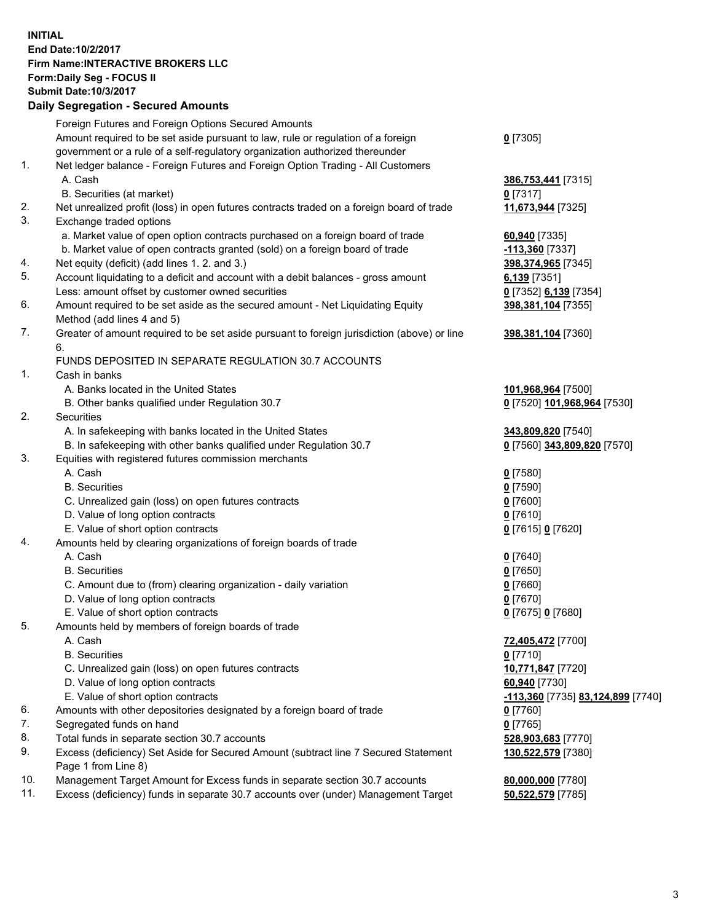## **INITIAL End Date:10/2/2017 Firm Name:INTERACTIVE BROKERS LLC Form:Daily Seg - FOCUS II Submit Date:10/3/2017 Daily Segregation - Secured Amounts**

|     | Daily Segregation - Secured Amounts                                                         |                                   |
|-----|---------------------------------------------------------------------------------------------|-----------------------------------|
|     | Foreign Futures and Foreign Options Secured Amounts                                         |                                   |
|     | Amount required to be set aside pursuant to law, rule or regulation of a foreign            | $0$ [7305]                        |
|     | government or a rule of a self-regulatory organization authorized thereunder                |                                   |
| 1.  | Net ledger balance - Foreign Futures and Foreign Option Trading - All Customers             |                                   |
|     | A. Cash                                                                                     | 386,753,441 [7315]                |
|     | B. Securities (at market)                                                                   | $0$ [7317]                        |
| 2.  |                                                                                             |                                   |
|     | Net unrealized profit (loss) in open futures contracts traded on a foreign board of trade   | 11,673,944 [7325]                 |
| 3.  | Exchange traded options                                                                     |                                   |
|     | a. Market value of open option contracts purchased on a foreign board of trade              | 60,940 [7335]                     |
|     | b. Market value of open contracts granted (sold) on a foreign board of trade                | $-113,360$ [7337]                 |
| 4.  | Net equity (deficit) (add lines 1. 2. and 3.)                                               | 398,374,965 [7345]                |
| 5.  | Account liquidating to a deficit and account with a debit balances - gross amount           | $6,139$ [7351]                    |
|     | Less: amount offset by customer owned securities                                            | 0 [7352] 6,139 [7354]             |
| 6.  | Amount required to be set aside as the secured amount - Net Liquidating Equity              | 398,381,104 [7355]                |
|     | Method (add lines 4 and 5)                                                                  |                                   |
| 7.  | Greater of amount required to be set aside pursuant to foreign jurisdiction (above) or line | 398,381,104 [7360]                |
|     | 6.                                                                                          |                                   |
|     | FUNDS DEPOSITED IN SEPARATE REGULATION 30.7 ACCOUNTS                                        |                                   |
| 1.  | Cash in banks                                                                               |                                   |
|     | A. Banks located in the United States                                                       | 101,968,964 [7500]                |
|     | B. Other banks qualified under Regulation 30.7                                              | 0 [7520] 101,968,964 [7530]       |
| 2.  | Securities                                                                                  |                                   |
|     | A. In safekeeping with banks located in the United States                                   | 343,809,820 [7540]                |
|     | B. In safekeeping with other banks qualified under Regulation 30.7                          | 0 [7560] 343,809,820 [7570]       |
| 3.  | Equities with registered futures commission merchants                                       |                                   |
|     | A. Cash                                                                                     | $0$ [7580]                        |
|     | <b>B.</b> Securities                                                                        | $0$ [7590]                        |
|     | C. Unrealized gain (loss) on open futures contracts                                         | $0$ [7600]                        |
|     | D. Value of long option contracts                                                           | $0$ [7610]                        |
|     | E. Value of short option contracts                                                          | 0 [7615] 0 [7620]                 |
| 4.  | Amounts held by clearing organizations of foreign boards of trade                           |                                   |
|     | A. Cash                                                                                     |                                   |
|     | <b>B.</b> Securities                                                                        | $0$ [7640]                        |
|     |                                                                                             | $0$ [7650]                        |
|     | C. Amount due to (from) clearing organization - daily variation                             | $0$ [7660]                        |
|     | D. Value of long option contracts                                                           | $0$ [7670]                        |
|     | E. Value of short option contracts                                                          | 0 [7675] 0 [7680]                 |
| 5.  | Amounts held by members of foreign boards of trade                                          |                                   |
|     | A. Cash                                                                                     | 72,405,472 [7700]                 |
|     | <b>B.</b> Securities                                                                        | $0$ [7710]                        |
|     | C. Unrealized gain (loss) on open futures contracts                                         | 10,771,847 [7720]                 |
|     | D. Value of long option contracts                                                           | 60,940 [7730]                     |
|     | E. Value of short option contracts                                                          | -113,360 [7735] 83,124,899 [7740] |
| 6.  | Amounts with other depositories designated by a foreign board of trade                      | 0 [7760]                          |
| 7.  | Segregated funds on hand                                                                    | $0$ [7765]                        |
| 8.  | Total funds in separate section 30.7 accounts                                               | 528,903,683 [7770]                |
| 9.  | Excess (deficiency) Set Aside for Secured Amount (subtract line 7 Secured Statement         | 130,522,579 [7380]                |
|     | Page 1 from Line 8)                                                                         |                                   |
| 10. | Management Target Amount for Excess funds in separate section 30.7 accounts                 | 80,000,000 [7780]                 |
| 11. | Excess (deficiency) funds in separate 30.7 accounts over (under) Management Target          | 50,522,579 [7785]                 |
|     |                                                                                             |                                   |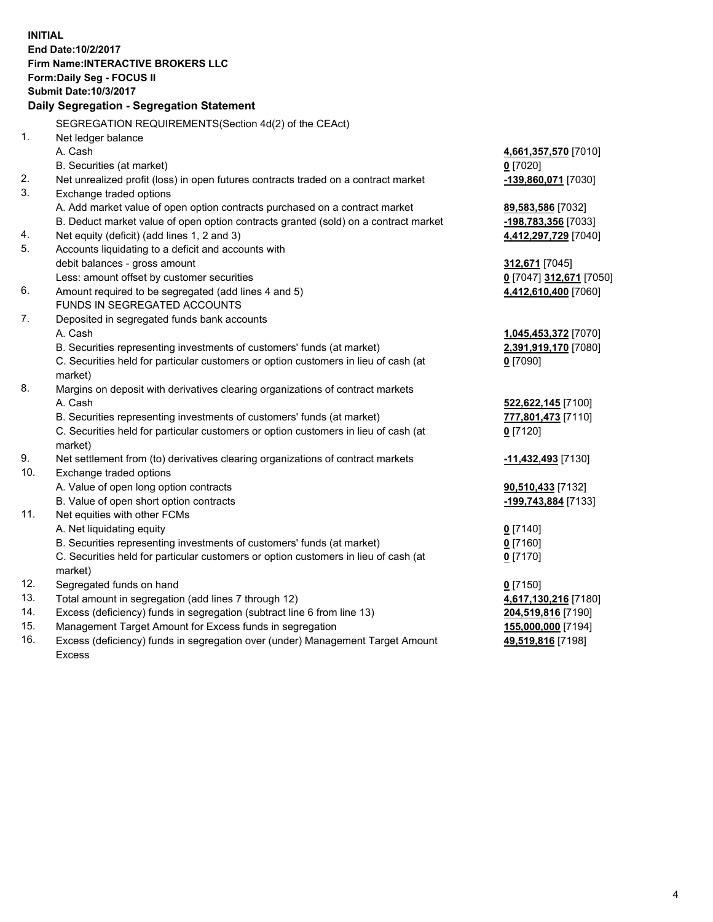**INITIAL End Date:10/2/2017 Firm Name:INTERACTIVE BROKERS LLC Form:Daily Seg - FOCUS II Submit Date:10/3/2017 Daily Segregation - Segregation Statement** SEGREGATION REQUIREMENTS(Section 4d(2) of the CEAct) 1. Net ledger balance A. Cash **4,661,357,570** [7010] B. Securities (at market) **0** [7020] 2. Net unrealized profit (loss) in open futures contracts traded on a contract market **-139,860,071** [7030] 3. Exchange traded options A. Add market value of open option contracts purchased on a contract market **89,583,586** [7032] B. Deduct market value of open option contracts granted (sold) on a contract market **-198,783,356** [7033] 4. Net equity (deficit) (add lines 1, 2 and 3) **4,412,297,729** [7040] 5. Accounts liquidating to a deficit and accounts with debit balances - gross amount **312,671** [7045] Less: amount offset by customer securities **0** [7047] **312,671** [7050] 6. Amount required to be segregated (add lines 4 and 5) **4,412,610,400** [7060] FUNDS IN SEGREGATED ACCOUNTS 7. Deposited in segregated funds bank accounts A. Cash **1,045,453,372** [7070] B. Securities representing investments of customers' funds (at market) **2,391,919,170** [7080] C. Securities held for particular customers or option customers in lieu of cash (at market) **0** [7090] 8. Margins on deposit with derivatives clearing organizations of contract markets A. Cash **522,622,145** [7100] B. Securities representing investments of customers' funds (at market) **777,801,473** [7110] C. Securities held for particular customers or option customers in lieu of cash (at market) **0** [7120] 9. Net settlement from (to) derivatives clearing organizations of contract markets **-11,432,493** [7130] 10. Exchange traded options A. Value of open long option contracts **90,510,433** [7132] B. Value of open short option contracts **-199,743,884** [7133] 11. Net equities with other FCMs A. Net liquidating equity **0** [7140] B. Securities representing investments of customers' funds (at market) **0** [7160] C. Securities held for particular customers or option customers in lieu of cash (at market) **0** [7170] 12. Segregated funds on hand **0** [7150] 13. Total amount in segregation (add lines 7 through 12) **4,617,130,216** [7180] 14. Excess (deficiency) funds in segregation (subtract line 6 from line 13) **204,519,816** [7190] 15. Management Target Amount for Excess funds in segregation **155,000,000** [7194] 16. Excess (deficiency) funds in segregation over (under) Management Target Amount **49,519,816** [7198]

Excess